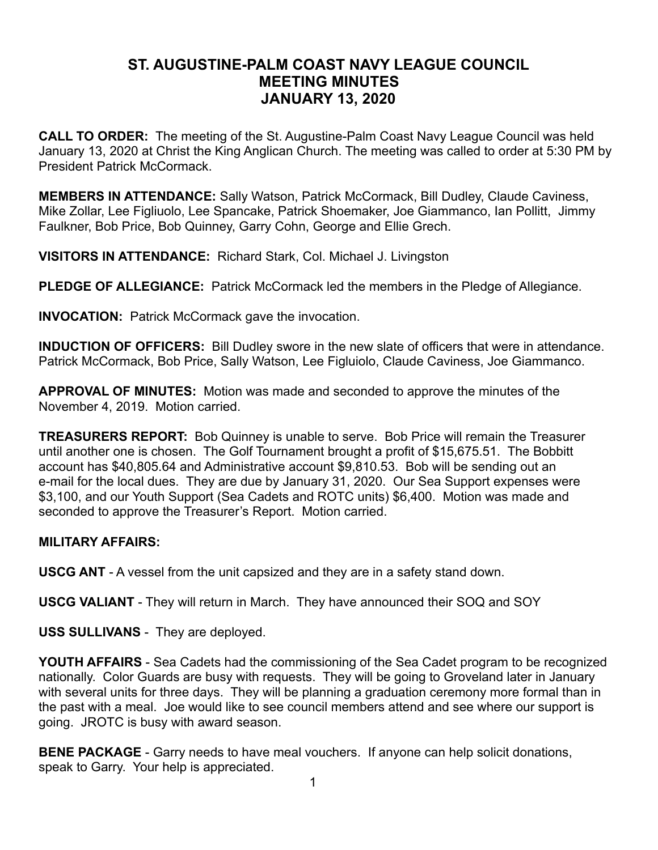## **ST. AUGUSTINE-PALM COAST NAVY LEAGUE COUNCIL MEETING MINUTES JANUARY 13, 2020**

**CALL TO ORDER:** The meeting of the St. Augustine-Palm Coast Navy League Council was held January 13, 2020 at Christ the King Anglican Church. The meeting was called to order at 5:30 PM by President Patrick McCormack.

**MEMBERS IN ATTENDANCE:** Sally Watson, Patrick McCormack, Bill Dudley, Claude Caviness, Mike Zollar, Lee Figliuolo, Lee Spancake, Patrick Shoemaker, Joe Giammanco, Ian Pollitt, Jimmy Faulkner, Bob Price, Bob Quinney, Garry Cohn, George and Ellie Grech.

**VISITORS IN ATTENDANCE:** Richard Stark, Col. Michael J. Livingston

**PLEDGE OF ALLEGIANCE:** Patrick McCormack led the members in the Pledge of Allegiance.

**INVOCATION:** Patrick McCormack gave the invocation.

**INDUCTION OF OFFICERS:** Bill Dudley swore in the new slate of officers that were in attendance. Patrick McCormack, Bob Price, Sally Watson, Lee Figluiolo, Claude Caviness, Joe Giammanco.

**APPROVAL OF MINUTES:** Motion was made and seconded to approve the minutes of the November 4, 2019. Motion carried.

**TREASURERS REPORT:** Bob Quinney is unable to serve. Bob Price will remain the Treasurer until another one is chosen. The Golf Tournament brought a profit of \$15,675.51. The Bobbitt account has \$40,805.64 and Administrative account \$9,810.53. Bob will be sending out an e-mail for the local dues. They are due by January 31, 2020. Our Sea Support expenses were \$3,100, and our Youth Support (Sea Cadets and ROTC units) \$6,400. Motion was made and seconded to approve the Treasurer's Report. Motion carried.

## **MILITARY AFFAIRS:**

**USCG ANT** - A vessel from the unit capsized and they are in a safety stand down.

**USCG VALIANT** - They will return in March. They have announced their SOQ and SOY

**USS SULLIVANS** - They are deployed.

**YOUTH AFFAIRS** - Sea Cadets had the commissioning of the Sea Cadet program to be recognized nationally. Color Guards are busy with requests. They will be going to Groveland later in January with several units for three days. They will be planning a graduation ceremony more formal than in the past with a meal. Joe would like to see council members attend and see where our support is going. JROTC is busy with award season.

**BENE PACKAGE** - Garry needs to have meal vouchers. If anyone can help solicit donations, speak to Garry. Your help is appreciated.